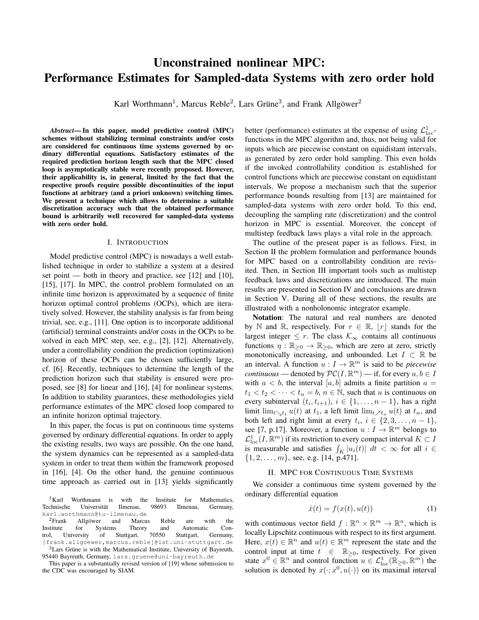# Unconstrained nonlinear MPC: Performance Estimates for Sampled-data Systems with zero order hold

Karl Worthmann<sup>1</sup>, Marcus Reble<sup>2</sup>, Lars Grüne<sup>3</sup>, and Frank Allgöwer<sup>2</sup>

*Abstract*— In this paper, model predictive control (MPC) schemes without stabilizing terminal constraints and/or costs are considered for continuous time systems governed by ordinary differential equations. Satisfactory estimates of the required prediction horizon length such that the MPC closed loop is asymptotically stable were recently proposed. However, their applicability is, in general, limited by the fact that the respective proofs require possible discontinuities of the input functions at arbitrary (and a priori unknown) switching times. We present a technique which allows to determine a suitable discretization accuracy such that the obtained performance bound is arbitrarily well recovered for sampled-data systems with zero order hold.

## I. INTRODUCTION

Model predictive control (MPC) is nowadays a well established technique in order to stabilize a system at a desired set point — both in theory and practice, see [12] and [10], [15], [17]. In MPC, the control problem formulated on an infinite time horizon is approximated by a sequence of finite horizon optimal control problems (OCPs), which are iteratively solved. However, the stability analysis is far from being trivial, see, e.g., [11]. One option is to incorporate additional (artificial) terminal constraints and/or costs in the OCPs to be solved in each MPC step, see, e.g., [2], [12]. Alternatively, under a controllability condition the prediction (optimization) horizon of these OCPs can be chosen sufficiently large, cf. [6]. Recently, techniques to determine the length of the prediction horizon such that stability is ensured were proposed, see [8] for linear and [16], [4] for nonlinear systems. In addition to stability guarantees, these methodologies yield performance estimates of the MPC closed loop compared to an infinite horizon optimal trajectory.

In this paper, the focus is put on continuous time systems governed by ordinary differential equations. In order to apply the existing results, two ways are possible. On the one hand, the system dynamics can be represented as a sampled-data system in order to treat them within the framework proposed in [16], [4]. On the other hand, the genuine continuous time approach as carried out in [13] yields significantly

better (performance) estimates at the expense of using  $\mathcal{L}^1_{\text{loc}}$ functions in the MPC algorithm and, thus, not being valid for inputs which are piecewise constant on equidistant intervals, as generated by zero order hold sampling. This even holds if the invoked controllability condition is established for control functions which are piecewise constant on equidistant intervals. We propose a mechanism such that the superior performance bounds resulting from [13] are maintained for sampled-data systems with zero order hold. To this end, decoupling the sampling rate (discretization) and the control horizon in MPC is essential. Moreover, the concept of multistep feedback laws plays a vital role in the approach.

The outline of the present paper is as follows. First, in Section II the problem formulation and performance bounds for MPC based on a controllability condition are revisited. Then, in Section III important tools such as multistep feedback laws and discretizations are introduced. The main results are presented in Section IV and conclusions are drawn in Section V. During all of these sections, the results are illustrated with a nonholonomic integrator example.

Notation: The natural and real numbers are denoted by N and R, respectively. For  $r \in \mathbb{R}$ ,  $\lfloor r \rfloor$  stands for the largest integer  $\leq r$ . The class  $\mathcal{K}_{\infty}$  contains all continuous functions  $\eta : \mathbb{R}_{\geq 0} \to \mathbb{R}_{\geq 0}$ , which are zero at zero, strictly monotonically increasing, and unbounded. Let  $I \subset \mathbb{R}$  be an interval. A function  $u: I \to \mathbb{R}^m$  is said to be *piecewise continuous* — denoted by  $\mathcal{PC}(I, \mathbb{R}^m)$  — if, for every  $a, b \in I$ with  $a < b$ , the interval [a, b] admits a finite partition  $a =$  $t_1 < t_2 < \cdots < t_n = b, n \in \mathbb{N}$ , such that u is continuous on every subinterval  $(t_i, t_{i+1}), i \in \{1, ..., n-1\}$ , has a right limit lim<sub>t $\searrow t_1$ </sub>  $u(t)$  at  $t_1$ , a left limit lim<sub>t</sub> $\nearrow t_n$   $u(t)$  at  $t_n$ , and both left and right limit at every  $t_i$ ,  $i \in \{2, 3, \ldots, n-1\}$ , see [7, p.17]. Moreover, a function  $u: I \to \mathbb{R}^m$  belongs to  $\mathcal{L}_{\text{loc}}^1(I,\mathbb{R}^m)$  if its restriction to every compact interval  $K\subset I$ is measurable and satisfies  $\int_K |u_i(t)| \, dt < \infty$  for all  $i \in$  $\{1, 2, \ldots, m\}$ , see, e.g. [14, p.471].

## II. MPC FOR CONTINUOUS TIME SYSTEMS

We consider a continuous time system governed by the ordinary differential equation

$$
\dot{x}(t) = f(x(t), u(t))\tag{1}
$$

with continuous vector field  $f : \mathbb{R}^n \times \mathbb{R}^m \to \mathbb{R}^n$ , which is locally Lipschitz continuous with respect to its first argument. Here,  $x(t) \in \mathbb{R}^n$  and  $u(t) \in \mathbb{R}^m$  represent the state and the control input at time  $t \in \mathbb{R}_{\geq 0}$ , respectively. For given state  $x^0 \in \mathbb{R}^n$  and control function  $u \in \mathcal{L}^1_{loc}(\mathbb{R}_{\geq 0}, \mathbb{R}^m)$  the solution is denoted by  $x(\cdot; x^0, u(\cdot))$  on its maximal interval

 ${}^{1}$ Karl Worthmann is with the Institute for Mathematics,<br>Technische Universität Ilmenau, 98693 Ilmenau, Germany, Universität Ilmenau, 98693 Ilmenau, Germany, karl.worthmann@tu-ilmenau.de

 ${}^{2}$ Frank Allgöwer and Marcus Reble are with the Institute for Systems Theory and Automatic Con-<br>trol, University of Stuttgart, 70550 Stuttgart, Germany, trol, University of Stuttgart, 70550 Stuttgart, Germany, [frank.allgoewer,marcus.reble]@ist.uni-stuttgart.de  $3$ Lars Grüne is with the Mathematical Institute, University of Bayreuth, 95440 Bayreuth, Germany, lars.gruene@uni-bayreuth.de

This paper is a substantially revised version of [19] whose submission to the CDC was encouraged by SIAM.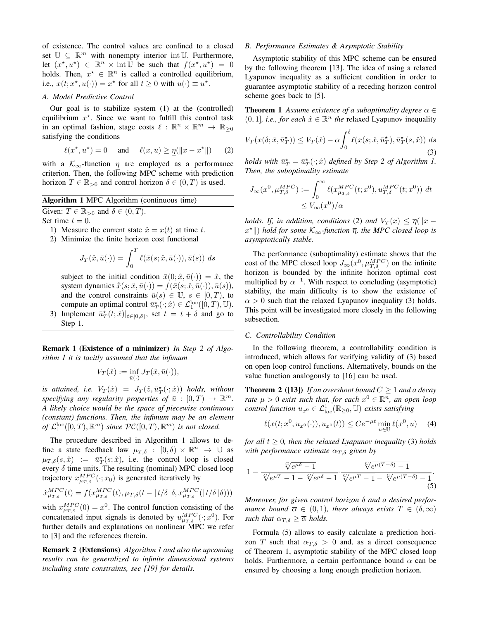of existence. The control values are confined to a closed set  $\mathbb{U} \subseteq \mathbb{R}^m$  with nonempty interior int U. Furthermore, let  $(x^*, u^*) \in \mathbb{R}^n \times \text{int} \overline{U}$  be such that  $f(x^*, u^*) = 0$ holds. Then,  $x^* \in \mathbb{R}^n$  is called a controlled equilibrium, i.e.,  $x(t; x^*, u(\cdot)) = x^*$  for all  $t \ge 0$  with  $u(\cdot) \equiv u^*$ .

# *A. Model Predictive Control*

Our goal is to stabilize system (1) at the (controlled) equilibrium  $x^*$ . Since we want to fulfill this control task in an optimal fashion, stage costs  $\ell : \mathbb{R}^n \times \mathbb{R}^m \to \mathbb{R}_{\geq 0}$ satisfying the conditions

$$
\ell(x^\star, u^\star) = 0 \quad \text{and} \quad \ell(x, u) \ge \eta(\|x - x^\star\|) \tag{2}
$$

with a  $K_{\infty}$ -function  $\eta$  are employed as a performance criterion. Then, the following MPC scheme with prediction horizon  $T \in \mathbb{R}_{>0}$  and control horizon  $\delta \in (0, T)$  is used.

Algorithm 1 MPC Algorithm (continuous time)

Given:  $T \in \mathbb{R}_{>0}$  and  $\delta \in (0, T)$ .

Set time  $t = 0$ .

- 1) Measure the current state  $\hat{x} = x(t)$  at time t.
- 2) Minimize the finite horizon cost functional

$$
J_T(\hat{x}, \bar{u}(\cdot)) = \int_0^T \ell(\bar{x}(s; \hat{x}, \bar{u}(\cdot)), \bar{u}(s)) ds
$$

subject to the initial condition  $\bar{x}(0; \hat{x}, \bar{u}(\cdot)) = \hat{x}$ , the system dynamics  $\dot{\bar{x}}(s; \hat{x}, \bar{u}(\cdot)) = f(\bar{x}(s; \hat{x}, \bar{u}(\cdot)), \bar{u}(s)),$ and the control constraints  $\bar{u}(s) \in \mathbb{U}$ ,  $s \in [0, T)$ , to compute an optimal control  $\overline{u}_T^{\star}(\cdot; \hat{x}) \in \mathcal{L}_1^{\text{loc}}([0, T), \mathbb{U})$ .

3) Implement  $\bar{u}_T^*(t;\hat{x})|_{t\in[0,\delta)}$ , set  $t = t + \delta$  and go to Step 1.

Remark 1 (Existence of a minimizer) *In Step 2 of Algorithm 1 it is tacitly assumed that the infimum*

$$
V_T(\hat{x}):=\inf_{\bar{u}(\cdot)}J_T(\hat{x},\bar{u}(\cdot)),
$$

*is attained, i.e.*  $V_T(\hat{x}) = J_T(\hat{z}, \bar{u}_T^{\star}(\cdot; \hat{x}))$  holds, without specifying any regularity properties of  $\overline{u}$  :  $[0, T) \rightarrow \mathbb{R}^m$ . *A likely choice would be the space of piecewise continuous (constant) functions. Then, the infimum may be an element* of  $\mathcal{L}_1^{\text{loc}}([0,T),\mathbb{R}^m)$  since  $\mathcal{PC}([0,T),\mathbb{R}^m)$  is not closed.

The procedure described in Algorithm 1 allows to define a state feedback law  $\mu_{T,\delta} : [0,\delta) \times \mathbb{R}^n \to \mathbb{U}$  as  $\mu_{T,\delta}(s,\hat{x}) \; := \; \bar{u}_T^{\star}(s;\hat{x})$ , i.e. the control loop is closed every  $\delta$  time units. The resulting (nominal) MPC closed loop trajectory  $x_{\mu_{T,\delta}}^{MPC}(\cdot; x_0)$  is generated iteratively by

$$
\dot{x}_{\mu_{T,\delta}}^{MPC}(t) = f(x_{\mu_{T,\delta}}^{MPC}(t), \mu_{T,\delta}(t - \lfloor t/\delta \rfloor \delta, x_{\mu_{T,\delta}}^{MPC}(\lfloor t/\delta \rfloor \delta)))
$$

with  $x_{\mu_T,s}^{MPC}(0) = x^0$ . The control function consisting of the concatenated input signals is denoted by  $u_{\mu_T,s}^{MPC}(\cdot; x^0)$ . For further details and explanations on nonlinear MPC we refer to [3] and the references therein.

Remark 2 (Extensions) *Algorithm 1 and also the upcoming results can be generalized to infinite dimensional systems including state constraints, see [19] for details.*

# *B. Performance Estimates & Asymptotic Stability*

Asymptotic stability of this MPC scheme can be ensured by the following theorem [13]. The idea of using a relaxed Lyapunov inequality as a sufficient condition in order to guarantee asymptotic stability of a receding horizon control scheme goes back to [5].

**Theorem 1** *Assume existence of a suboptimality degree*  $\alpha \in$  $(0, 1]$ , *i.e., for each*  $\hat{x} \in \mathbb{R}^n$  *the* relaxed Lyapunov inequality

$$
V_T(x(\delta; \hat{x}, \bar{u}_T^{\star})) \le V_T(\hat{x}) - \alpha \int_0^{\delta} \ell(x(s; \hat{x}, \bar{u}_T^{\star}), \bar{u}_T^{\star}(s, \hat{x})) ds
$$
\n(3)

*holds with*  $\bar{u}_T^* = \bar{u}_T^*(\cdot; \hat{x})$  *defined by Step 2 of Algorithm 1. Then, the suboptimality estimate*

$$
J_{\infty}(x^0, \mu_{T,\delta}^{MPC}) := \int_0^{\infty} \ell(x_{\mu_{T,\delta}}^{MPC}(t; x^0), u_{T,\delta}^{MPC}(t; x^0)) dt
$$
  

$$
\leq V_{\infty}(x^0) / \alpha
$$

*holds. If, in addition, conditions* (2) *and*  $V_T(x) \leq \overline{\eta}(\Vert x - \overline{\eta}\Vert)$  $x<sup>★</sup>$ ||) *hold for some* K<sub>∞</sub>-function  $\bar{\eta}$ , the MPC closed loop is *asymptotically stable.*

The performance (suboptimality) estimate shows that the cost of the MPC closed loop  $J_{\infty}(x^0, \mu_{T,\delta}^{MPC})$  on the infinite horizon is bounded by the infinite horizon optimal cost multiplied by  $\alpha^{-1}$ . With respect to concluding (asymptotic) stability, the main difficulty is to show the existence of  $\alpha > 0$  such that the relaxed Lyapunov inequality (3) holds. This point will be investigated more closely in the following subsection.

## *C. Controllability Condition*

In the following theorem, a controllability condition is introduced, which allows for verifying validity of (3) based on open loop control functions. Alternatively, bounds on the value function analogously to [16] can be used.

**Theorem 2** ([13]) *If an overshoot bound*  $C \geq 1$  *and a decay rate*  $\mu > 0$  *exist such that, for each*  $x^0 \in \mathbb{R}^n$ *, an open loop control function*  $u_{x^0} \in \mathcal{L}^1_{loc}(\mathbb{R}_{\geq 0}, \mathbb{U})$  *exists satisfying* 

$$
\ell(x(t; x^0, u_{x^0}(\cdot)), u_{x^0}(t)) \le Ce^{-\mu t} \min_{u \in \mathbb{U}} \ell(x^0, u) \quad (4)
$$

*for all*  $t \geq 0$ *, then the relaxed Lyapunov inequality* (3) *holds with performance estimate*  $\alpha_{T, \delta}$  *given by* 

$$
1 - \frac{\sqrt{e^{\mu \delta} - 1}}{\sqrt{e^{\mu T} - 1} - \sqrt{e^{\mu \delta} - 1}} \cdot \frac{\sqrt{e^{\mu (T - \delta)} - 1}}{\sqrt{e^{\mu T} - 1} - \sqrt{e^{\mu (T - \delta)} - 1}}.
$$
\n(5)

*Moreover, for given control horizon* δ *and a desired performance bound*  $\overline{\alpha} \in (0,1)$ *, there always exists*  $T \in (\delta,\infty)$ *such that*  $\alpha_{T,\delta} \geq \overline{\alpha}$  *holds.* 

Formula (5) allows to easily calculate a prediction horizon T such that  $\alpha_{T,\delta} > 0$  and, as a direct consequence of Theorem 1, asymptotic stability of the MPC closed loop holds. Furthermore, a certain performance bound  $\overline{\alpha}$  can be ensured by choosing a long enough prediction horizon.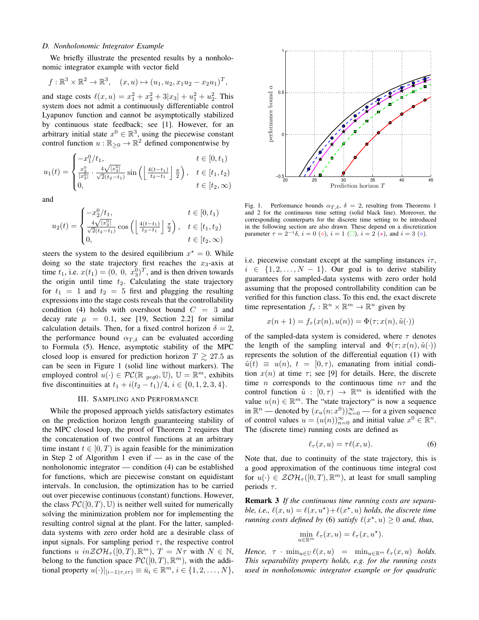# *D. Nonholonomic Integrator Example*

We briefly illustrate the presented results by a nonholonomic integrator example with vector field

$$
f: \mathbb{R}^3 \times \mathbb{R}^2 \to \mathbb{R}^3
$$
,  $(x, u) \mapsto (u_1, u_2, x_1 u_2 - x_2 u_1)^T$ ,

and stage costs  $\ell(x, u) = x_1^2 + x_2^2 + 3|x_3| + u_1^2 + u_2^2$ . This system does not admit a continuously differentiable control Lyapunov function and cannot be asymptotically stabilized by continuous state feedback; see [1]. However, for an arbitrary initial state  $x^0 \in \mathbb{R}^3$ , using the piecewise constant control function  $u : \mathbb{R}_{\geq 0} \to \mathbb{R}^2$  defined componentwise by

$$
u_1(t) = \begin{cases} -x_1^0/t_1, & t \in [0, t_1) \\ \frac{x_3^0}{|x_3^0|} \cdot \frac{4\sqrt{|x_3^0|}}{\sqrt{2}(t_2 - t_1)} \sin\left(\left\lfloor \frac{4(t - t_1)}{t_2 - t_1} \right\rfloor \frac{\pi}{2}\right), & t \in [t_1, t_2) \\ 0, & t \in [t_2, \infty) \end{cases}
$$

and

$$
u_2(t) = \begin{cases} -x_2^0/t_1, & t \in [0, t_1) \\ \frac{4\sqrt{|x_3^0|}}{\sqrt{2}(t_2 - t_1)} \cos\left(\left\lfloor \frac{4(t - t_1)}{t_2 - t_1} \right\rfloor \frac{\pi}{2}\right), & t \in [t_1, t_2) \\ 0, & t \in [t_2, \infty) \end{cases}
$$

steers the system to the desired equilibrium  $x^* = 0$ . While doing so the state trajectory first reaches the  $x_3$ -axis at time  $t_1$ , i.e.  $x(t_1) = (0, 0, x_3^0)^T$ , and is then driven towards the origin until time  $t_2$ . Calculating the state trajectory for  $t_1 = 1$  and  $t_2 = 5$  first and plugging the resulting expressions into the stage costs reveals that the controllability condition (4) holds with overshoot bound  $C = 3$  and decay rate  $\mu = 0.1$ , see [19, Section 2.2] for similar calculation details. Then, for a fixed control horizon  $\delta = 2$ , the performance bound  $\alpha_{T,\delta}$  can be evaluated according to Formula (5). Hence, asymptotic stability of the MPC closed loop is ensured for prediction horizon  $T \gtrsim 27.5$  as can be seen in Figure 1 (solid line without markers). The employed control  $u(\cdot) \in \mathcal{PC}(\mathbb{R}_{geq 0}, \mathbb{U}), \mathbb{U} = \mathbb{R}^m$ , exhibits five discontinuities at  $t_1 + i(t_2 - t_1)/4$ ,  $i \in \{0, 1, 2, 3, 4\}$ .

### III. SAMPLING AND PERFORMANCE

While the proposed approach yields satisfactory estimates on the prediction horizon length guaranteeing stability of the MPC closed loop, the proof of Theorem 2 requires that the concatenation of two control functions at an arbitrary time instant  $t \in [0, T)$  is again feasible for the minimization in Step 2 of Algorithm 1 even if — as in the case of the nonholonomic integrator — condition (4) can be established for functions, which are piecewise constant on equidistant intervals. In conclusion, the optimization has to be carried out over piecewise continuous (constant) functions. However, the class  $\mathcal{PC}([0, T), \mathbb{U})$  is neither well suited for numerically solving the minimization problem nor for implementing the resulting control signal at the plant. For the latter, sampleddata systems with zero order hold are a desirable class of input signals. For sampling period  $\tau$ , the respective control functions  $u$  in  $\mathcal{Z} \mathcal{O} \mathcal{H}_{\tau}([0,T), \mathbb{R}^m)$ ,  $T = N\tau$  with  $N \in \mathbb{N}$ , belong to the function space  $\mathcal{PC}([0,T), \mathbb{R}^m)$ , with the additional property  $u(\cdot)|_{[i-1)\tau, i\tau)} \equiv \bar{u}_i \in \mathbb{R}^m$ ,  $i \in \{1, 2, \ldots, N\}$ ,



Fig. 1. Performance bounds  $\alpha_{T,\delta}$ ,  $\delta = 2$ , resulting from Theorems 1 and 2 for the continuous time setting (solid black line). Moreover, the corresponding counterparts for the discrete time setting to be introduced in the following section are also drawn. These depend on a discretization parameter  $\tau = 2^{-i}\delta$ ,  $i = 0$  ( $\circ$ ),  $i = 1$  ( $\Box$ ),  $i = 2$  ( $\star$ ), and  $i = 3$  ( $\circ$ ).

i.e. piecewise constant except at the sampling instances  $i\tau$ ,  $i \in \{1, 2, \ldots, N - 1\}$ . Our goal is to derive stability guarantees for sampled-data systems with zero order hold assuming that the proposed controllability condition can be verified for this function class. To this end, the exact discrete time representation  $f_{\tau} : \mathbb{R}^n \times \mathbb{R}^m \to \mathbb{R}^n$  given by

$$
x(n+1) = f_{\tau}(x(n), u(n)) = \Phi(\tau; x(n), \tilde{u}(\cdot))
$$

of the sampled-data system is considered, where  $\tau$  denotes the length of the sampling interval and  $\Phi(\tau; x(n), \tilde{u}(\cdot))$ represents the solution of the differential equation (1) with  $\tilde{u}(t) \equiv u(n), t = [0, \tau)$ , emanating from initial condition  $x(n)$  at time  $\tau$ ; see [9] for details. Here, the discrete time *n* corresponds to the continuous time  $n\tau$  and the control function  $\tilde{u} : [0, \tau) \to \mathbb{R}^m$  is identified with the value  $u(n) \in \mathbb{R}^m$ . The "state trajectory" is now a sequence in  $\mathbb{R}^n$  — denoted by  $(x_u(n; x^0))_{n=0}^{\infty}$  — for a given sequence of control values  $u = (u(n))_{n=0}^{\infty}$  and initial value  $x^0 \in \mathbb{R}^n$ . The (discrete time) running costs are defined as

$$
\ell_{\tau}(x, u) = \tau \ell(x, u). \tag{6}
$$

Note that, due to continuity of the state trajectory, this is a good approximation of the continuous time integral cost for  $u(\cdot) \in \mathcal{Z} \mathcal{O} \mathcal{H}_{\tau}([0,T), \mathbb{R}^m)$ , at least for small sampling periods  $\tau$ .

Remark 3 *If the continuous time running costs are separa*ble, *i.e.*,  $\ell(x, u) = \ell(x, u^*) + \ell(x^*, u)$  *holds, the discrete time running costs defined by* (6) *satisfy*  $\ell(x^*, u) \geq 0$  *and, thus,* 

$$
\min_{u \in \mathbb{R}^m} \ell_\tau(x, u) = \ell_\tau(x, u^\star).
$$

*Hence,*  $\tau \cdot \min_{u \in \mathbb{U}} \ell(x, u) = \min_{u \in \mathbb{R}^m} \ell_\tau(x, u)$  *holds. This separability property holds, e.g. for the running costs used in nonholonomic integrator example or for quadratic*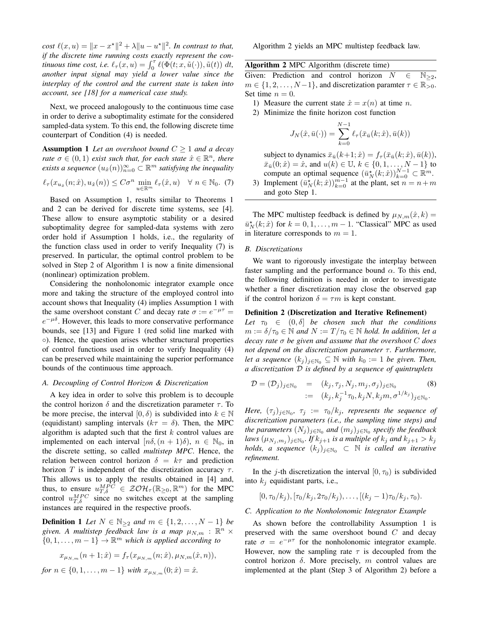*cost*  $\ell(x, u) = ||x - x^*||^2 + \lambda ||u - u^*||^2$ . In contrast to that, *if the discrete time running costs exactly represent the continuous time cost, i.e.*  $\ell_{\tau}(x, u) = \int_0^{\tau} \ell(\Phi(t; x, \tilde{u}(\cdot)), \tilde{u}(t)) dt$ , *another input signal may yield a lower value since the interplay of the control and the current state is taken into account, see [18] for a numerical case study.*

Next, we proceed analogously to the continuous time case in order to derive a suboptimality estimate for the considered sampled-data system. To this end, the following discrete time counterpart of Condition (4) is needed.

**Assumption 1** Let an overshoot bound  $C \geq 1$  and a decay *rate*  $\sigma \in (0,1)$  *exist such that, for each state*  $\hat{x} \in \mathbb{R}^n$ *, there exists a sequence*  $(u_{\hat{x}}(n))_{n=0}^{\infty} \subset \mathbb{R}^m$  *satisfying the inequality* 

$$
\ell_{\tau}(x_{u_{\hat{x}}}(n;\hat{x}),u_{\hat{x}}(n)) \leq C\sigma^n \min_{u \in \mathbb{R}^m} \ell_{\tau}(\hat{x},u) \quad \forall \ n \in \mathbb{N}_0. \tag{7}
$$

Based on Assumption 1, results similar to Theorems 1 and 2 can be derived for discrete time systems, see [4]. These allow to ensure asymptotic stability or a desired suboptimality degree for sampled-data systems with zero order hold if Assumption 1 holds, i.e., the regularity of the function class used in order to verify Inequality (7) is preserved. In particular, the optimal control problem to be solved in Step 2 of Algorithm 1 is now a finite dimensional (nonlinear) optimization problem.

Considering the nonholonomic integrator example once more and taking the structure of the employed control into account shows that Inequality (4) implies Assumption 1 with the same overshoot constant C and decay rate  $\sigma := e^{-\mu \tau} =$  $e^{-\mu\delta}$ . However, this leads to more conservative performance bounds, see [13] and Figure 1 (red solid line marked with ◦). Hence, the question arises whether structural properties of control functions used in order to verify Inequality (4) can be preserved while maintaining the superior performance bounds of the continuous time approach.

#### *A. Decoupling of Control Horizon & Discretization*

A key idea in order to solve this problem is to decouple the control horizon  $\delta$  and the discretization parameter  $\tau$ . To be more precise, the interval  $[0, \delta)$  is subdivided into  $k \in \mathbb{N}$ (equidistant) sampling intervals ( $k\tau = \delta$ ). Then, the MPC algorithm is adapted such that the first  $k$  control values are implemented on each interval  $[n\delta,(n+1)\delta), n \in \mathbb{N}_0$ , in the discrete setting, so called *multistep MPC*. Hence, the relation between control horizon  $\delta = k\tau$  and prediction horizon T is independent of the discretization accuracy  $\tau$ . This allows us to apply the results obtained in [4] and, thus, to ensure  $u_{T,\delta}^{MPC} \in \mathcal{Z} \mathcal{O} \mathcal{H}_{\tau}(\mathbb{R}_{\geq 0}, \mathbb{R}^m)$  for the MPC control  $u_{T,\delta}^{MPC}$  since no switches except at the sampling instances are required in the respective proofs.

**Definition 1** *Let*  $N \in \mathbb{N}_{\geq 2}$  *and*  $m \in \{1, 2, ..., N - 1\}$  *be* given. A multistep feedback law is a map  $\mu_{N,m}$  :  $\mathbb{R}^n \times$  $\{0, 1, \ldots, m-1\} \to \mathbb{R}^m$  which is applied according to

$$
x_{\mu_{N,m}}(n+1;\hat{x}) = f_{\tau}(x_{\mu_{N,m}}(n;\hat{x}), \mu_{N,m}(\hat{x}, n)),
$$
  
for  $n \in \{0, 1, ..., m-1\}$  with  $x_{\mu_{N,m}}(0;\hat{x}) = \hat{x}$ .

Algorithm 2 yields an MPC multistep feedback law.

# Algorithm 2 MPC Algorithm (discrete time)

Given: Prediction and control horizon  $N \in \mathbb{N}_{\geq 2}$ ,  $m \in \{1, 2, \ldots, N-1\}$ , and discretization paramter  $\tau \in \mathbb{R}_{>0}$ . Set time  $n = 0$ .

- 1) Measure the current state  $\hat{x} = x(n)$  at time n.
- 2) Minimize the finite horizon cost function

$$
J_N(\hat{x}, \bar{u}(\cdot)) = \sum_{k=0}^{N-1} \ell_\tau(\bar{x}_{\bar{u}}(k; \hat{x}), \bar{u}(k))
$$

subject to dynamics  $\bar{x}_{\bar{u}}(k+1;\hat{x}) = f_{\tau}(\bar{x}_{\bar{u}}(k;\hat{x}), \bar{u}(k)),$  $\bar{x}_{\bar{u}}(0;\hat{x}) = \hat{x}$ , and  $u(k) \in \mathbb{U}$ ,  $k \in \{0, 1, \dots, N - 1\}$  to compute an optimal sequence  $(\bar{u}_N^{\star}(k; \hat{x}))_{k=0}^{N-1} \subset \mathbb{R}^m$ .

3) Implement  $(\bar{u}_N^{\star}(k; \hat{x}))_{k=0}^{m-1}$  at the plant, set  $n = n+m$ and goto Step 1.

The MPC multistep feedback is defined by  $\mu_{N,m}(\hat{x}, k) =$  $\overline{u}_N^*(k; \hat{x})$  for  $k = 0, 1, \dots, m - 1$ . "Classical" MPC as used in literature corresponds to  $m = 1$ .

### *B. Discretizations*

We want to rigorously investigate the interplay between faster sampling and the performance bound  $\alpha$ . To this end, the following definition is needed in order to investigate whether a finer discretization may close the observed gap if the control horizon  $\delta = \tau m$  is kept constant.

# Definition 2 (Discretization and Iterative Refinement)

Let  $\tau_0 \in (0, \delta]$  *be chosen such that the conditions*  $m := \delta/\tau_0 \in \mathbb{N}$  and  $N := T/\tau_0 \in \mathbb{N}$  *hold. In addition, let a decay rate* σ *be given and assume that the overshoot* C *does not depend on the discretization parameter τ. Furthermore, let a sequence*  $(k_j)_{j \in \mathbb{N}_0} \subseteq \mathbb{N}$  *with*  $k_0 := 1$  *be given. Then, a discretization* D *is defined by a sequence of quintruplets*

$$
\mathcal{D} = (\mathcal{D}_j)_{j \in \mathbb{N}_0} = (k_j, \tau_j, N_j, m_j, \sigma_j)_{j \in \mathbb{N}_0}
$$
\n
$$
:= (k_j, k_j^{-1} \tau_0, k_j N, k_j m, \sigma^{1/k_j})_{j \in \mathbb{N}_0}.
$$
\n(8)

Here,  $(\tau_j)_{j \in \mathbb{N}_0}$ ,  $\tau_j$   $\,:=\, \tau_0/k_j$ , represents the sequence of *discretization parameters (i.e., the sampling time steps) and* the parameters  $(N_j)_{j\in\mathbb{N}_0}$  and  $(m_j)_{j\in\mathbb{N}_0}$  specify the feedback  $laws$   $(\mu_{N_j,m_j})_{j\in\mathbb{N}_0}$ . If  $k_{j+1}$  is a multiple of  $k_j$  and  $k_{j+1}>k_j$ *holds, a sequence*  $(k_j)_{j \in \mathbb{N}_0} \subset \mathbb{N}$  *is called an iterative refinement.*

In the j-th discretization the interval  $[0, \tau_0)$  is subdivided into  $k_i$  equidistant parts, i.e.,

 $[0, \tau_0/k_i]$ ,  $[\tau_0/k_i, 2\tau_0/k_i)$ , ...,  $[(k_i - 1)\tau_0/k_i, \tau_0)$ .

# *C. Application to the Nonholonomic Integrator Example*

As shown before the controllability Assumption 1 is preserved with the same overshoot bound C and decay rate  $\sigma = e^{-\mu\tau}$  for the nonholonomic integrator example. However, now the sampling rate  $\tau$  is decoupled from the control horizon  $\delta$ . More precisely, m control values are implemented at the plant (Step 3 of Algorithm 2) before a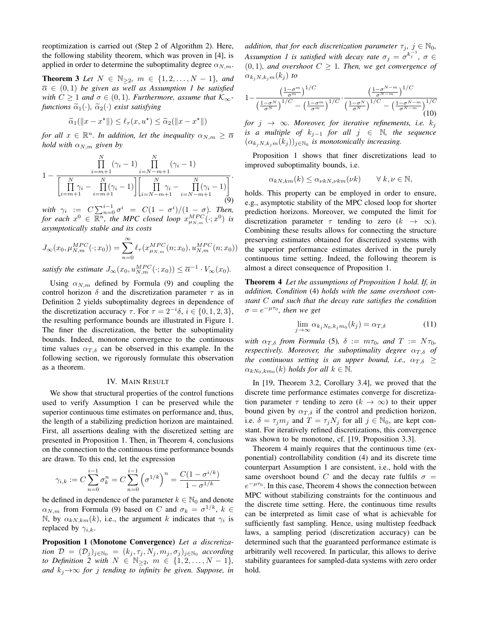reoptimization is carried out (Step 2 of Algorithm 2). Here, the following stability theorem, which was proven in [4], is applied in order to determine the suboptimality degree  $\alpha_{N,m}$ .

**Theorem 3** *Let*  $N \in \mathbb{N}_{\geq 2}$ *,*  $m \in \{1, 2, ..., N - 1\}$ *<i>, and*  $\overline{\alpha} \in (0,1)$  *be given as well as Assumption 1 be satisfied with*  $C \geq 1$  *and*  $\sigma \in (0, 1)$ *. Furthermore, assume that*  $\mathcal{K}_{\infty}$ *functions*  $\tilde{\alpha}_1(\cdot)$ ,  $\tilde{\alpha}_2(\cdot)$  *exist satisfying* 

$$
\widetilde{\alpha}_1(||x - x^\star||) \le \ell_\tau(x, u^\star) \le \widetilde{\alpha}_2(||x - x^\star||)
$$

*for all*  $x \in \mathbb{R}^n$ *. In addition, let the inequality*  $\alpha_{N,m} \geq \overline{\alpha}$ *hold with*  $\alpha_{N,m}$  *given by* 

$$
1 - \frac{\prod_{i=m+1}^{N} (\gamma_i - 1)}{\left[\prod_{i=m+1}^{N} \gamma_i - \prod_{i=m+1}^{N} (\gamma_i - 1)\right] \left[\prod_{i=N-m+1}^{N} \gamma_i - \prod_{i=N-m+1}^{N} (\gamma_i - 1)\right]}.
$$
\n(9)

with  $\gamma_i := C \sum_{n=0}^{i-1} \sigma^i = C(1 - \sigma^i)/(1 - \sigma)$ . Then, for each  $x^0 \in \overline{\mathbb{R}^n}$ , the MPC closed loop  $x_{\mu_{N,m}}^{MPC}(\cdot; x^0)$  is *asymptotically stable and its costs*

$$
J_{\infty}(x_0, \mu_{N,m}^{MPC}(\cdot; x_0)) = \sum_{n=0}^{\infty} \ell_{\tau}(x_{\mu_{N,m}}^{MPC}(n; x_0), u_{N,m}^{MPC}(n; x_0))
$$

*satisfy the estimate*  $J_{\infty}(x_0, u_{N,m}^{MPC}(\cdot; x_0)) \leq \overline{\alpha}^{-1} \cdot V_{\infty}(x_0)$ .

Using  $\alpha_{N,m}$  defined by Formula (9) and coupling the control horizon  $\delta$  and the discretization parameter  $\tau$  as in Definition 2 yields suboptimality degrees in dependence of the discretization accuracy  $\tau$ . For  $\tau = 2^{-i}\delta$ ,  $i \in \{0, 1, 2, 3\}$ , the resulting performance bounds are illustrated in Figure 1. The finer the discretization, the better the suboptimality bounds. Indeed, monotone convergence to the continuous time values  $\alpha_{T,\delta}$  can be observed in this example. In the following section, we rigorously formulate this observation as a theorem.

## IV. MAIN RESULT

We show that structural properties of the control functions used to verify Assumption 1 can be preserved while the superior continuous time estimates on performance and, thus, the length of a stabilizing prediction horizon are maintained. First, all assertions dealing with the discretized setting are presented in Proposition 1. Then, in Theorem 4, conclusions on the connection to the continuous time performance bounds are drawn. To this end, let the expression

$$
\gamma_{i,k} := C \sum_{n=0}^{i-1} \sigma_k^n = C \sum_{n=0}^{i-1} \left( \sigma^{1/k} \right)^n = \frac{C(1 - \sigma^{i/k})}{1 - \sigma^{1/k}}
$$

be defined in dependence of the parameter  $k \in \mathbb{N}_0$  and denote  $\alpha_{N,m}$  from Formula (9) based on C and  $\sigma_k = \sigma^{1/k}, k \in$ N, by  $\alpha_{kN,km}(k)$ , i.e., the argument k indicates that  $\gamma_i$  is replaced by  $\gamma_{i,k}$ .

Proposition 1 (Monotone Convergence) *Let a discretization*  $\mathcal{D} = (\mathcal{D}_j)_{j \in \mathbb{N}_0} = (k_j, \tau_j, N_j, m_j, \sigma_j)_{j \in \mathbb{N}_0}$  according *to Definition 2 with*  $N \in \mathbb{N}_{\geq 2}$ ,  $m \in \{1, 2, ..., N - 1\}$ , *and*  $k_j \rightarrow \infty$  *for j tending to infinity be given. Suppose, in*  *addition, that for each discretization parameter*  $\tau_j$ ,  $j \in \mathbb{N}_0$ , Assumption 1 is satisfied with decay rate  $\sigma_j = \sigma^{k_j^{-1}}$ ,  $\sigma \in$  $(0, 1)$ *, and overshoot*  $C \geq 1$ *. Then, we get convergence of*  $\alpha_{k_i,N,k_jm}(k_j)$  to

$$
1 - \frac{\left(\frac{1-\sigma^m}{\sigma^m}\right)^{1/C}}{\left(\frac{1-\sigma^N}{\sigma^N}\right)^{1/C} - \left(\frac{1-\sigma^m}{\sigma^m}\right)^{1/C}} \cdot \frac{\left(\frac{1-\sigma^{N-m}}{\sigma^{N-m}}\right)^{1/C}}{\left(\frac{1-\sigma^N}{\sigma^N}\right)^{1/C} - \left(\frac{1-\sigma^{N-m}}{\sigma^{N-m}}\right)^{1/C}} \tag{10}
$$

*for*  $j \rightarrow \infty$ *. Moreover, for iterative refinements, i.e.*  $k_j$ *is a multiple of*  $k_{j-1}$  *for all*  $j \in \mathbb{N}$ *, the sequence*  $(\alpha_{k_jN,k_jm}(k_j))_{j\in\mathbb{N}_0}$  is monotonically increasing.

Proposition 1 shows that finer discretizations lead to improved suboptimality bounds, i.e.

$$
\alpha_{kN,km}(k) \leq \alpha_{\nu kN,\nu km}(\nu k) \qquad \forall \ k,\nu \in \mathbb{N},
$$

holds. This property can be employed in order to ensure, e.g., asymptotic stability of the MPC closed loop for shorter prediction horizons. Moreover, we computed the limit for discretization parameter  $\tau$  tending to zero ( $k \to \infty$ ). Combining these results allows for connecting the structure preserving estimates obtained for discretized systems with the superior performance estimates derived in the purely continuous time setting. Indeed, the following theorem is almost a direct consequence of Proposition 1.

Theorem 4 *Let the assumptions of Proposition 1 hold. If, in addition, Condition* (4) *holds with the same overshoot constant* C *and such that the decay rate satisfies the condition*  $\sigma = e^{-\mu \tau_0}$ , then we get

$$
\lim_{j \to \infty} \alpha_{k_j N_0, k_j m_0}(k_j) = \alpha_{T, \delta} \tag{11}
$$

*with*  $\alpha_{T,\delta}$  *from Formula* (5),  $\delta := m\tau_0$ *, and*  $T := N\tau_0$ *, respectively. Moreover, the suboptimality degree*  $\alpha_{T,\delta}$  *of the continuous setting is an upper bound, i.e.,*  $\alpha_{T,\delta} \geq$  $\alpha_{kN_0,km_0}(k)$  *holds for all*  $k \in \mathbb{N}$ .

In [19, Theorem 3.2, Corollary 3.4], we proved that the discrete time performance estimates converge for discretization parameter  $\tau$  tending to zero  $(k \to \infty)$  to their upper bound given by  $\alpha_{T,\delta}$  if the control and prediction horizon, i.e.  $\delta = \tau_j m_j$  and  $T = \tau_j N_j$  for all  $j \in \mathbb{N}_0$ , are kept constant. For iteratively refined discretizations, this convergence was shown to be monotone, cf. [19, Proposition 3.3].

Theorem 4 mainly requires that the continuous time (exponential) controllability condition (4) and its discrete time counterpart Assumption 1 are consistent, i.e., hold with the same overshoot bound C and the decay rate fulfils  $\sigma =$  $e^{-\mu\tau_0}$ . In this case, Theorem 4 shows the connection between MPC without stabilizing constraints for the continuous and the discrete time setting. Here, the continuous time results can be interpreted as limit case of what is achievable for sufficiently fast sampling. Hence, using multistep feedback laws, a sampling period (discretization accuracy) can be determined such that the guaranteed performance estimate is arbitrarily well recovered. In particular, this allows to derive stability guarantees for sampled-data systems with zero order hold.